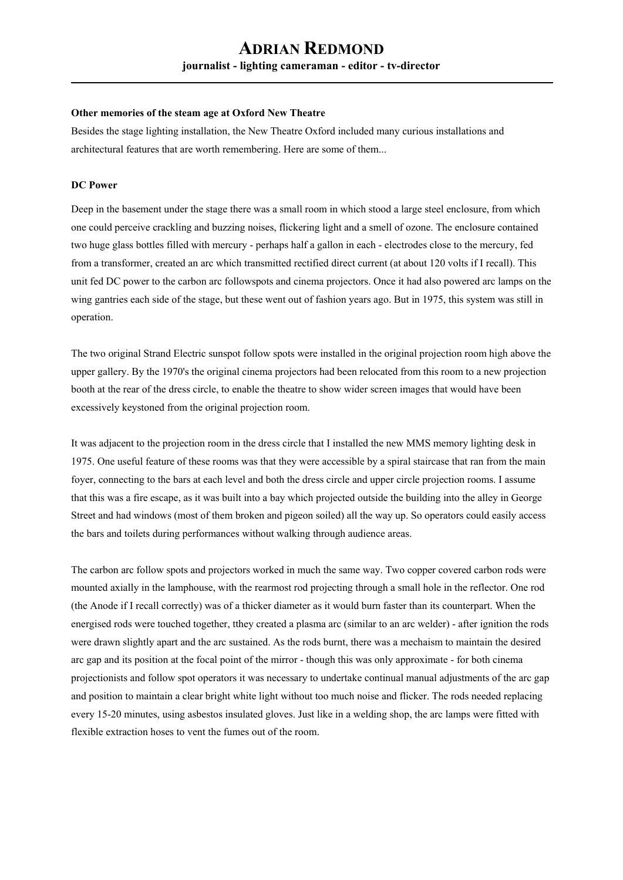# **ADRIAN REDMOND journalist - lighting cameraman - editor - tv-director**

#### **Other memories of the steam age at Oxford New Theatre**

Besides the stage lighting installation, the New Theatre Oxford included many curious installations and architectural features that are worth remembering. Here are some of them...

#### **DC Power**

Deep in the basement under the stage there was a small room in which stood a large steel enclosure, from which one could perceive crackling and buzzing noises, flickering light and a smell of ozone. The enclosure contained two huge glass bottles filled with mercury - perhaps half a gallon in each - electrodes close to the mercury, fed from a transformer, created an arc which transmitted rectified direct current (at about 120 volts if I recall). This unit fed DC power to the carbon arc followspots and cinema projectors. Once it had also powered arc lamps on the wing gantries each side of the stage, but these went out of fashion years ago. But in 1975, this system was still in operation.

The two original Strand Electric sunspot follow spots were installed in the original projection room high above the upper gallery. By the 1970's the original cinema projectors had been relocated from this room to a new projection booth at the rear of the dress circle, to enable the theatre to show wider screen images that would have been excessively keystoned from the original projection room.

It was adjacent to the projection room in the dress circle that I installed the new MMS memory lighting desk in 1975. One useful feature of these rooms was that they were accessible by a spiral staircase that ran from the main foyer, connecting to the bars at each level and both the dress circle and upper circle projection rooms. I assume that this was a fire escape, as it was built into a bay which projected outside the building into the alley in George Street and had windows (most of them broken and pigeon soiled) all the way up. So operators could easily access the bars and toilets during performances without walking through audience areas.

The carbon arc follow spots and projectors worked in much the same way. Two copper covered carbon rods were mounted axially in the lamphouse, with the rearmost rod projecting through a small hole in the reflector. One rod (the Anode if I recall correctly) was of a thicker diameter as it would burn faster than its counterpart. When the energised rods were touched together, tthey created a plasma arc (similar to an arc welder) - after ignition the rods were drawn slightly apart and the arc sustained. As the rods burnt, there was a mechaism to maintain the desired arc gap and its position at the focal point of the mirror - though this was only approximate - for both cinema projectionists and follow spot operators it was necessary to undertake continual manual adjustments of the arc gap and position to maintain a clear bright white light without too much noise and flicker. The rods needed replacing every 15-20 minutes, using asbestos insulated gloves. Just like in a welding shop, the arc lamps were fitted with flexible extraction hoses to vent the fumes out of the room.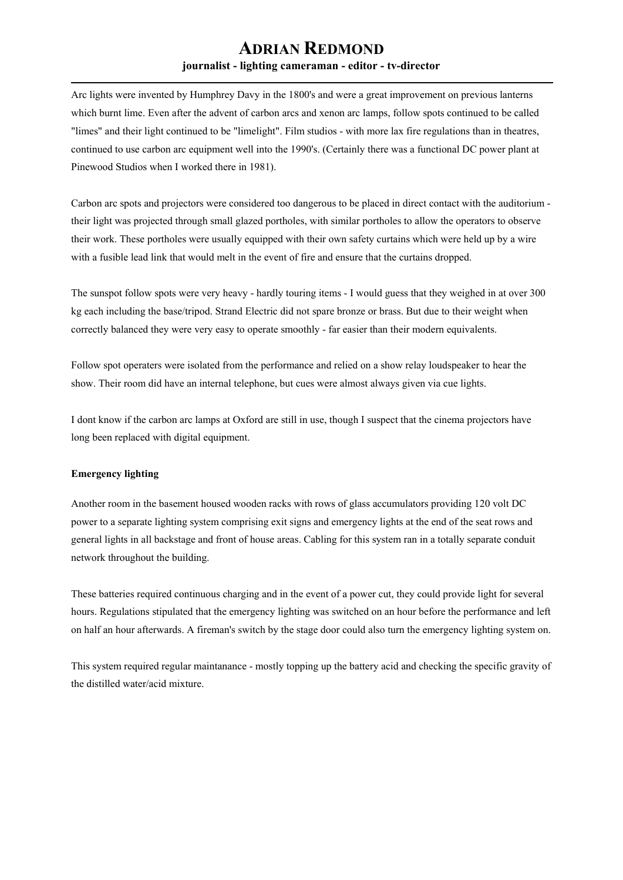### **ADRIAN REDMOND journalist - lighting cameraman - editor - tv-director**

Arc lights were invented by Humphrey Davy in the 1800's and were a great improvement on previous lanterns which burnt lime. Even after the advent of carbon arcs and xenon arc lamps, follow spots continued to be called "limes" and their light continued to be "limelight". Film studios - with more lax fire regulations than in theatres, continued to use carbon arc equipment well into the 1990's. (Certainly there was a functional DC power plant at Pinewood Studios when I worked there in 1981).

Carbon arc spots and projectors were considered too dangerous to be placed in direct contact with the auditorium their light was projected through small glazed portholes, with similar portholes to allow the operators to observe their work. These portholes were usually equipped with their own safety curtains which were held up by a wire with a fusible lead link that would melt in the event of fire and ensure that the curtains dropped.

The sunspot follow spots were very heavy - hardly touring items - I would guess that they weighed in at over 300 kg each including the base/tripod. Strand Electric did not spare bronze or brass. But due to their weight when correctly balanced they were very easy to operate smoothly - far easier than their modern equivalents.

Follow spot operaters were isolated from the performance and relied on a show relay loudspeaker to hear the show. Their room did have an internal telephone, but cues were almost always given via cue lights.

I dont know if the carbon arc lamps at Oxford are still in use, though I suspect that the cinema projectors have long been replaced with digital equipment.

#### **Emergency lighting**

Another room in the basement housed wooden racks with rows of glass accumulators providing 120 volt DC power to a separate lighting system comprising exit signs and emergency lights at the end of the seat rows and general lights in all backstage and front of house areas. Cabling for this system ran in a totally separate conduit network throughout the building.

These batteries required continuous charging and in the event of a power cut, they could provide light for several hours. Regulations stipulated that the emergency lighting was switched on an hour before the performance and left on half an hour afterwards. A fireman's switch by the stage door could also turn the emergency lighting system on.

This system required regular maintanance - mostly topping up the battery acid and checking the specific gravity of the distilled water/acid mixture.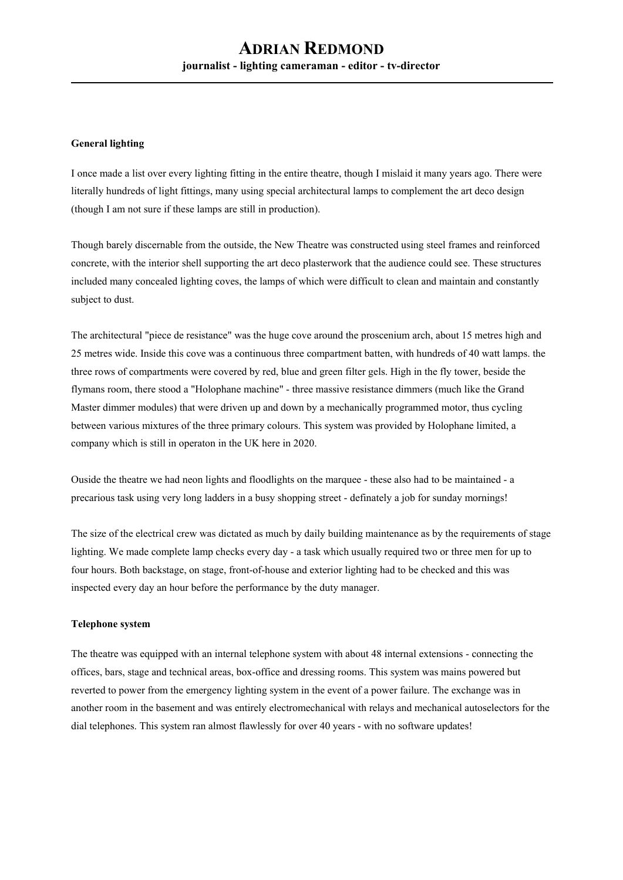#### **General lighting**

I once made a list over every lighting fitting in the entire theatre, though I mislaid it many years ago. There were literally hundreds of light fittings, many using special architectural lamps to complement the art deco design (though I am not sure if these lamps are still in production).

Though barely discernable from the outside, the New Theatre was constructed using steel frames and reinforced concrete, with the interior shell supporting the art deco plasterwork that the audience could see. These structures included many concealed lighting coves, the lamps of which were difficult to clean and maintain and constantly subject to dust.

The architectural "piece de resistance" was the huge cove around the proscenium arch, about 15 metres high and 25 metres wide. Inside this cove was a continuous three compartment batten, with hundreds of 40 watt lamps. the three rows of compartments were covered by red, blue and green filter gels. High in the fly tower, beside the flymans room, there stood a "Holophane machine" - three massive resistance dimmers (much like the Grand Master dimmer modules) that were driven up and down by a mechanically programmed motor, thus cycling between various mixtures of the three primary colours. This system was provided by Holophane limited, a company which is still in operaton in the UK here in 2020.

Ouside the theatre we had neon lights and floodlights on the marquee - these also had to be maintained - a precarious task using very long ladders in a busy shopping street - definately a job for sunday mornings!

The size of the electrical crew was dictated as much by daily building maintenance as by the requirements of stage lighting. We made complete lamp checks every day - a task which usually required two or three men for up to four hours. Both backstage, on stage, front-of-house and exterior lighting had to be checked and this was inspected every day an hour before the performance by the duty manager.

#### **Telephone system**

The theatre was equipped with an internal telephone system with about 48 internal extensions - connecting the offices, bars, stage and technical areas, box-office and dressing rooms. This system was mains powered but reverted to power from the emergency lighting system in the event of a power failure. The exchange was in another room in the basement and was entirely electromechanical with relays and mechanical autoselectors for the dial telephones. This system ran almost flawlessly for over 40 years - with no software updates!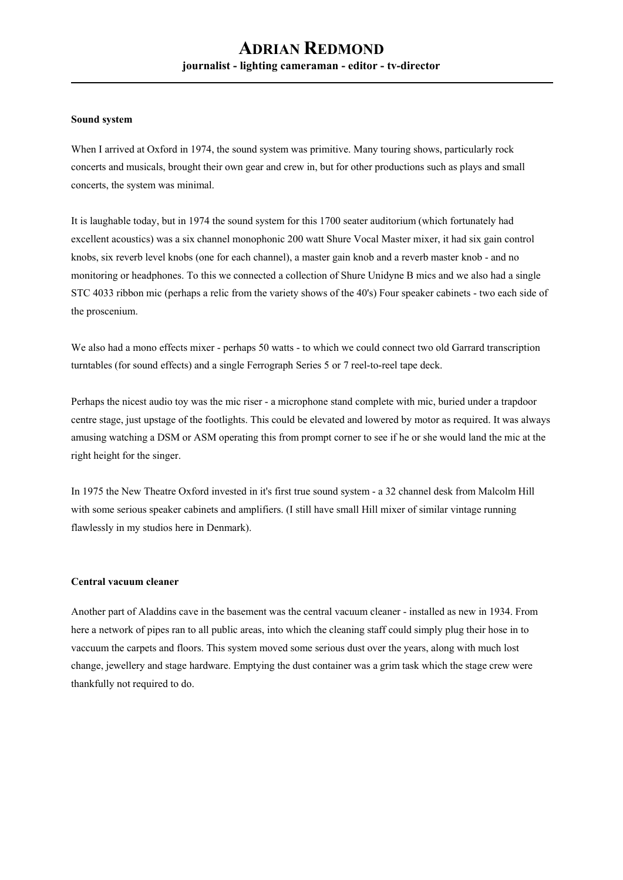#### **Sound system**

When I arrived at Oxford in 1974, the sound system was primitive. Many touring shows, particularly rock concerts and musicals, brought their own gear and crew in, but for other productions such as plays and small concerts, the system was minimal.

It is laughable today, but in 1974 the sound system for this 1700 seater auditorium (which fortunately had excellent acoustics) was a six channel monophonic 200 watt Shure Vocal Master mixer, it had six gain control knobs, six reverb level knobs (one for each channel), a master gain knob and a reverb master knob - and no monitoring or headphones. To this we connected a collection of Shure Unidyne B mics and we also had a single STC 4033 ribbon mic (perhaps a relic from the variety shows of the 40's) Four speaker cabinets - two each side of the proscenium.

We also had a mono effects mixer - perhaps 50 watts - to which we could connect two old Garrard transcription turntables (for sound effects) and a single Ferrograph Series 5 or 7 reel-to-reel tape deck.

Perhaps the nicest audio toy was the mic riser - a microphone stand complete with mic, buried under a trapdoor centre stage, just upstage of the footlights. This could be elevated and lowered by motor as required. It was always amusing watching a DSM or ASM operating this from prompt corner to see if he or she would land the mic at the right height for the singer.

In 1975 the New Theatre Oxford invested in it's first true sound system - a 32 channel desk from Malcolm Hill with some serious speaker cabinets and amplifiers. (I still have small Hill mixer of similar vintage running flawlessly in my studios here in Denmark).

#### **Central vacuum cleaner**

Another part of Aladdins cave in the basement was the central vacuum cleaner - installed as new in 1934. From here a network of pipes ran to all public areas, into which the cleaning staff could simply plug their hose in to vaccuum the carpets and floors. This system moved some serious dust over the years, along with much lost change, jewellery and stage hardware. Emptying the dust container was a grim task which the stage crew were thankfully not required to do.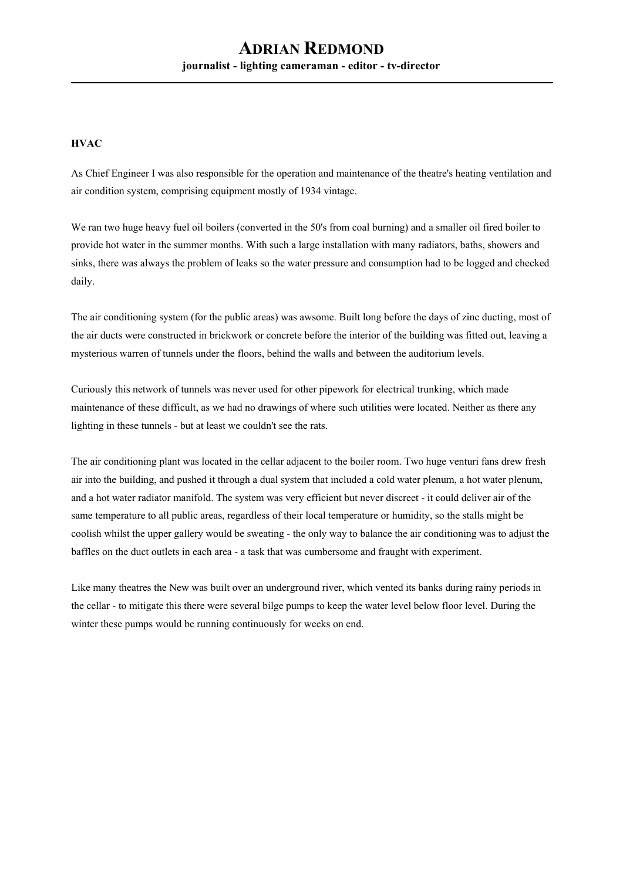## **ADRIAN REDMOND journalist - lighting cameraman - editor - tv-director**

#### **HVAC**

As Chief Engineer I was also responsible for the operation and maintenance of the theatre's heating ventilation and air condition system, comprising equipment mostly of 1934 vintage.

We ran two huge heavy fuel oil boilers (converted in the 50's from coal burning) and a smaller oil fired boiler to provide hot water in the summer months. With such a large installation with many radiators, baths, showers and sinks, there was always the problem of leaks so the water pressure and consumption had to be logged and checked daily.

The air conditioning system (for the public areas) was awsome. Built long before the days of zinc ducting, most of the air ducts were constructed in brickwork or concrete before the interior of the building was fitted out, leaving a mysterious warren of tunnels under the floors, behind the walls and between the auditorium levels.

Curiously this network of tunnels was never used for other pipework for electrical trunking, which made maintenance of these difficult, as we had no drawings of where such utilities were located. Neither as there any lighting in these tunnels - but at least we couldn't see the rats.

The air conditioning plant was located in the cellar adjacent to the boiler room. Two huge venturi fans drew fresh air into the building, and pushed it through a dual system that included a cold water plenum, a hot water plenum, and a hot water radiator manifold. The system was very efficient but never discreet - it could deliver air of the same temperature to all public areas, regardless of their local temperature or humidity, so the stalls might be coolish whilst the upper gallery would be sweating - the only way to balance the air conditioning was to adjust the baffles on the duct outlets in each area - a task that was cumbersome and fraught with experiment.

Like many theatres the New was built over an underground river, which vented its banks during rainy periods in the cellar - to mitigate this there were several bilge pumps to keep the water level below floor level. During the winter these pumps would be running continuously for weeks on end.